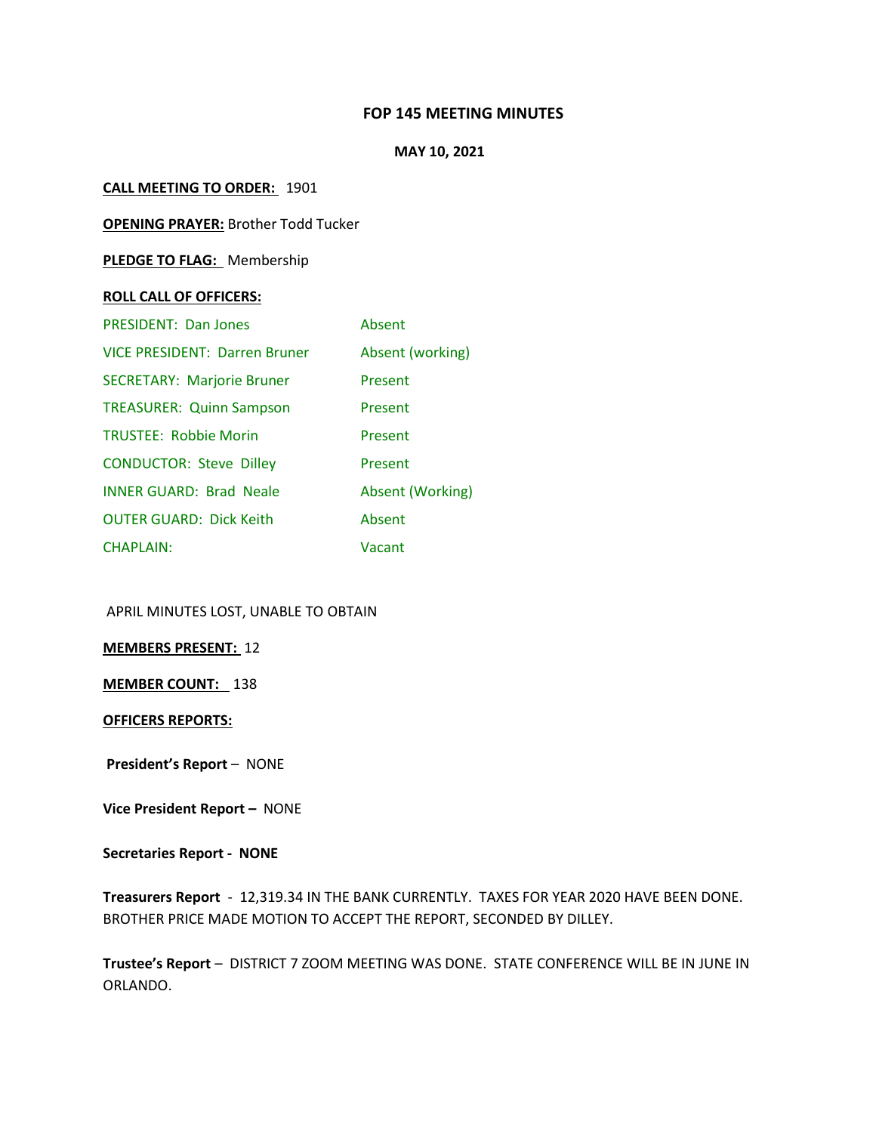# **FOP 145 MEETING MINUTES**

# **MAY 10, 2021**

### **CALL MEETING TO ORDER:** 1901

**OPENING PRAYER:** Brother Todd Tucker

**PLEDGE TO FLAG:** Membership

#### **ROLL CALL OF OFFICERS:**

| <b>PRESIDENT: Dan Jones</b>          | Absent           |
|--------------------------------------|------------------|
| <b>VICE PRESIDENT: Darren Bruner</b> | Absent (working) |
| <b>SECRETARY: Marjorie Bruner</b>    | Present          |
| <b>TREASURER: Quinn Sampson</b>      | Present          |
| <b>TRUSTEE: Robbie Morin</b>         | Present          |
| <b>CONDUCTOR: Steve Dilley</b>       | Present          |
| <b>INNER GUARD: Brad Neale</b>       | Absent (Working) |
| <b>OUTER GUARD: Dick Keith</b>       | Absent           |
| <b>CHAPLAIN:</b>                     | Vacant           |

### APRIL MINUTES LOST, UNABLE TO OBTAIN

### **MEMBERS PRESENT:** 12

### **MEMBER COUNT:** 138

# **OFFICERS REPORTS:**

**President's Report** – NONE

**Vice President Report –** NONE

#### **Secretaries Report - NONE**

**Treasurers Report** - 12,319.34 IN THE BANK CURRENTLY. TAXES FOR YEAR 2020 HAVE BEEN DONE. BROTHER PRICE MADE MOTION TO ACCEPT THE REPORT, SECONDED BY DILLEY.

**Trustee's Report** – DISTRICT 7 ZOOM MEETING WAS DONE. STATE CONFERENCE WILL BE IN JUNE IN ORLANDO.